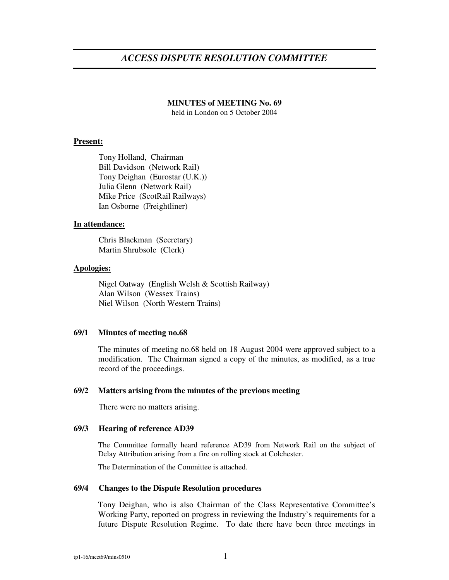# *ACCESS DISPUTE RESOLUTION COMMITTEE*

## **MINUTES of MEETING No. 69**

held in London on 5 October 2004

## **Present:**

Tony Holland, Chairman Bill Davidson (Network Rail) Tony Deighan (Eurostar (U.K.)) Julia Glenn (Network Rail) Mike Price (ScotRail Railways) Ian Osborne (Freightliner)

#### **In attendance:**

Chris Blackman (Secretary) Martin Shrubsole (Clerk)

## **Apologies:**

Nigel Oatway (English Welsh & Scottish Railway) Alan Wilson (Wessex Trains) Niel Wilson (North Western Trains)

### **69/1 Minutes of meeting no.68**

The minutes of meeting no.68 held on 18 August 2004 were approved subject to a modification. The Chairman signed a copy of the minutes, as modified, as a true record of the proceedings.

### **69/2 Matters arising from the minutes of the previous meeting**

There were no matters arising.

#### **69/3 Hearing of reference AD39**

The Committee formally heard reference AD39 from Network Rail on the subject of Delay Attribution arising from a fire on rolling stock at Colchester.

The Determination of the Committee is attached.

## **69/4 Changes to the Dispute Resolution procedures**

Tony Deighan, who is also Chairman of the Class Representative Committee's Working Party, reported on progress in reviewing the Industry's requirements for a future Dispute Resolution Regime. To date there have been three meetings in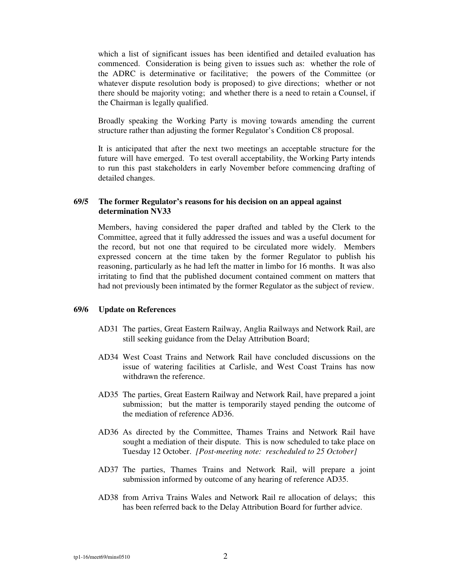which a list of significant issues has been identified and detailed evaluation has commenced. Consideration is being given to issues such as: whether the role of the ADRC is determinative or facilitative; the powers of the Committee (or whatever dispute resolution body is proposed) to give directions; whether or not there should be majority voting; and whether there is a need to retain a Counsel, if the Chairman is legally qualified.

Broadly speaking the Working Party is moving towards amending the current structure rather than adjusting the former Regulator's Condition C8 proposal.

It is anticipated that after the next two meetings an acceptable structure for the future will have emerged. To test overall acceptability, the Working Party intends to run this past stakeholders in early November before commencing drafting of detailed changes.

# **69/5 The former Regulator's reasons for his decision on an appeal against determination NV33**

Members, having considered the paper drafted and tabled by the Clerk to the Committee, agreed that it fully addressed the issues and was a useful document for the record, but not one that required to be circulated more widely. Members expressed concern at the time taken by the former Regulator to publish his reasoning, particularly as he had left the matter in limbo for 16 months. It was also irritating to find that the published document contained comment on matters that had not previously been intimated by the former Regulator as the subject of review.

## **69/6 Update on References**

- AD31 The parties, Great Eastern Railway, Anglia Railways and Network Rail, are still seeking guidance from the Delay Attribution Board;
- AD34 West Coast Trains and Network Rail have concluded discussions on the issue of watering facilities at Carlisle, and West Coast Trains has now withdrawn the reference.
- AD35 The parties, Great Eastern Railway and Network Rail, have prepared a joint submission; but the matter is temporarily stayed pending the outcome of the mediation of reference AD36.
- AD36 As directed by the Committee, Thames Trains and Network Rail have sought a mediation of their dispute. This is now scheduled to take place on Tuesday 12 October. *[Post-meeting note: rescheduled to 25 October]*
- AD37 The parties, Thames Trains and Network Rail, will prepare a joint submission informed by outcome of any hearing of reference AD35.
- AD38 from Arriva Trains Wales and Network Rail re allocation of delays; this has been referred back to the Delay Attribution Board for further advice.